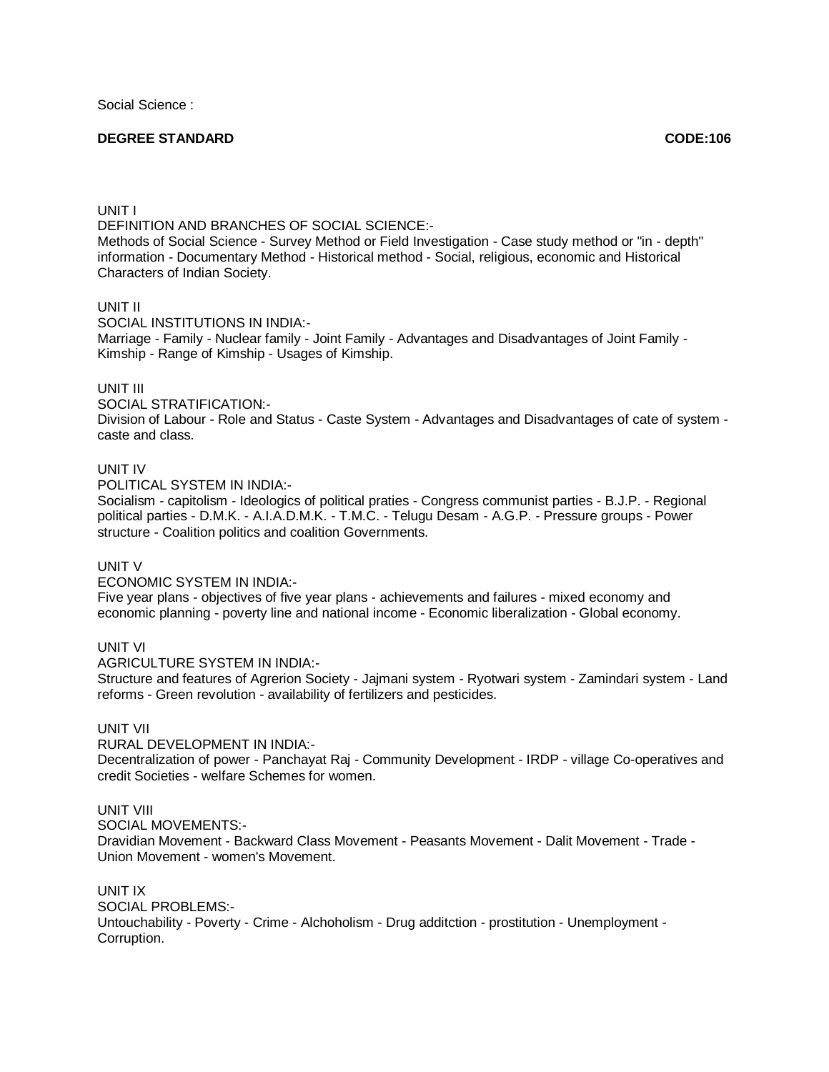Social Science :

## **DEGREE STANDARD CODE:106**

#### UNIT I

DEFINITION AND BRANCHES OF SOCIAL SCIENCE:-

Methods of Social Science - Survey Method or Field Investigation - Case study method or "in - depth" information - Documentary Method - Historical method - Social, religious, economic and Historical Characters of Indian Society.

#### UNIT II

SOCIAL INSTITUTIONS IN INDIA:-

Marriage - Family - Nuclear family - Joint Family - Advantages and Disadvantages of Joint Family - Kimship - Range of Kimship - Usages of Kimship.

## UNIT III

SOCIAL STRATIFICATION:- Division of Labour - Role and Status - Caste System - Advantages and Disadvantages of cate of system caste and class.

## UNIT IV

POLITICAL SYSTEM IN INDIA:-

Socialism - capitolism - Ideologics of political praties - Congress communist parties - B.J.P. - Regional political parties - D.M.K. - A.I.A.D.M.K. - T.M.C. - Telugu Desam - A.G.P. - Pressure groups - Power structure - Coalition politics and coalition Governments.

### UNIT V

ECONOMIC SYSTEM IN INDIA:-

Five year plans - objectives of five year plans - achievements and failures - mixed economy and economic planning - poverty line and national income - Economic liberalization - Global economy.

#### UNIT VI

AGRICULTURE SYSTEM IN INDIA:-

Structure and features of Agrerion Society - Jajmani system - Ryotwari system - Zamindari system - Land reforms - Green revolution - availability of fertilizers and pesticides.

# UNIT VII

RURAL DEVELOPMENT IN INDIA:-

Decentralization of power - Panchayat Raj - Community Development - IRDP - village Co-operatives and credit Societies - welfare Schemes for women.

#### UNIT VIII

SOCIAL MOVEMENTS:-

Dravidian Movement - Backward Class Movement - Peasants Movement - Dalit Movement - Trade - Union Movement - women's Movement.

UNIT IX SOCIAL PROBLEMS:- Untouchability - Poverty - Crime - Alchoholism - Drug additction - prostitution - Unemployment - Corruption.